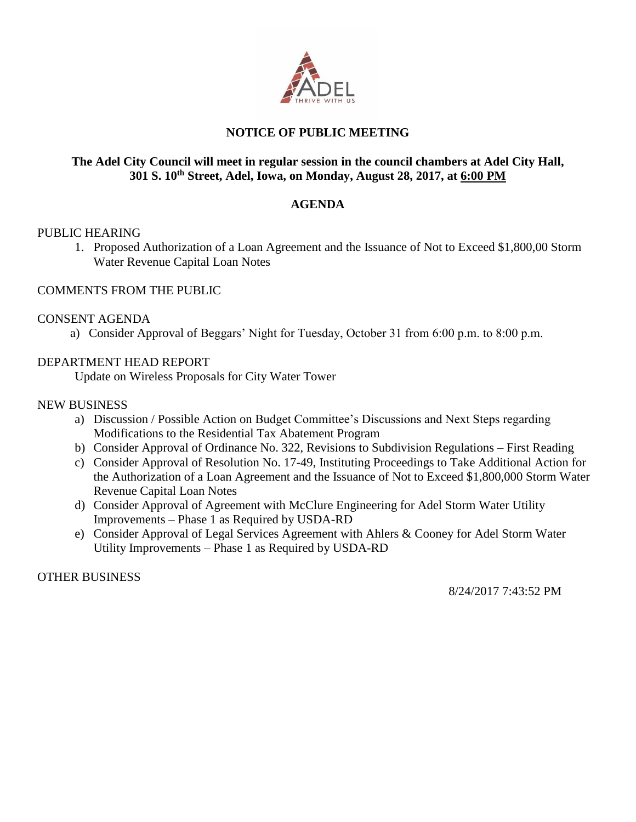

## **NOTICE OF PUBLIC MEETING**

## **The Adel City Council will meet in regular session in the council chambers at Adel City Hall, 301 S. 10th Street, Adel, Iowa, on Monday, August 28, 2017, at 6:00 PM**

## **AGENDA**

## PUBLIC HEARING

1. Proposed Authorization of a Loan Agreement and the Issuance of Not to Exceed \$1,800,00 Storm Water Revenue Capital Loan Notes

## COMMENTS FROM THE PUBLIC

## CONSENT AGENDA

a) Consider Approval of Beggars' Night for Tuesday, October 31 from 6:00 p.m. to 8:00 p.m.

## DEPARTMENT HEAD REPORT

Update on Wireless Proposals for City Water Tower

## NEW BUSINESS

- a) Discussion / Possible Action on Budget Committee's Discussions and Next Steps regarding Modifications to the Residential Tax Abatement Program
- b) Consider Approval of Ordinance No. 322, Revisions to Subdivision Regulations First Reading
- c) Consider Approval of Resolution No. 17-49, Instituting Proceedings to Take Additional Action for the Authorization of a Loan Agreement and the Issuance of Not to Exceed \$1,800,000 Storm Water Revenue Capital Loan Notes
- d) Consider Approval of Agreement with McClure Engineering for Adel Storm Water Utility Improvements – Phase 1 as Required by USDA-RD
- e) Consider Approval of Legal Services Agreement with Ahlers & Cooney for Adel Storm Water Utility Improvements – Phase 1 as Required by USDA-RD

OTHER BUSINESS

8/24/2017 7:43:52 PM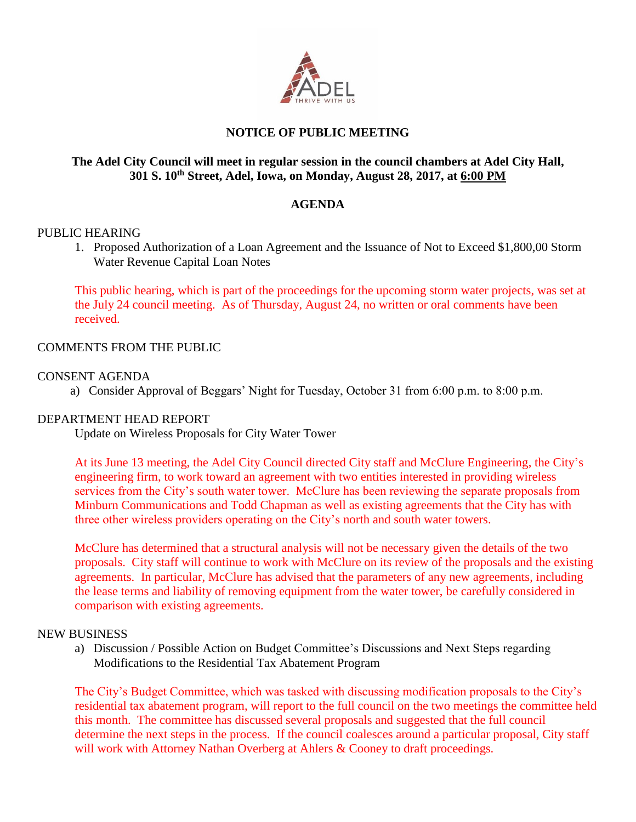

## **NOTICE OF PUBLIC MEETING**

## **The Adel City Council will meet in regular session in the council chambers at Adel City Hall, 301 S. 10th Street, Adel, Iowa, on Monday, August 28, 2017, at 6:00 PM**

## **AGENDA**

### PUBLIC HEARING

1. Proposed Authorization of a Loan Agreement and the Issuance of Not to Exceed \$1,800,00 Storm Water Revenue Capital Loan Notes

This public hearing, which is part of the proceedings for the upcoming storm water projects, was set at the July 24 council meeting. As of Thursday, August 24, no written or oral comments have been received.

### COMMENTS FROM THE PUBLIC

## CONSENT AGENDA

a) Consider Approval of Beggars' Night for Tuesday, October 31 from 6:00 p.m. to 8:00 p.m.

#### DEPARTMENT HEAD REPORT

Update on Wireless Proposals for City Water Tower

At its June 13 meeting, the Adel City Council directed City staff and McClure Engineering, the City's engineering firm, to work toward an agreement with two entities interested in providing wireless services from the City's south water tower. McClure has been reviewing the separate proposals from Minburn Communications and Todd Chapman as well as existing agreements that the City has with three other wireless providers operating on the City's north and south water towers.

McClure has determined that a structural analysis will not be necessary given the details of the two proposals. City staff will continue to work with McClure on its review of the proposals and the existing agreements. In particular, McClure has advised that the parameters of any new agreements, including the lease terms and liability of removing equipment from the water tower, be carefully considered in comparison with existing agreements.

#### NEW BUSINESS

a) Discussion / Possible Action on Budget Committee's Discussions and Next Steps regarding Modifications to the Residential Tax Abatement Program

The City's Budget Committee, which was tasked with discussing modification proposals to the City's residential tax abatement program, will report to the full council on the two meetings the committee held this month. The committee has discussed several proposals and suggested that the full council determine the next steps in the process. If the council coalesces around a particular proposal, City staff will work with Attorney Nathan Overberg at Ahlers & Cooney to draft proceedings.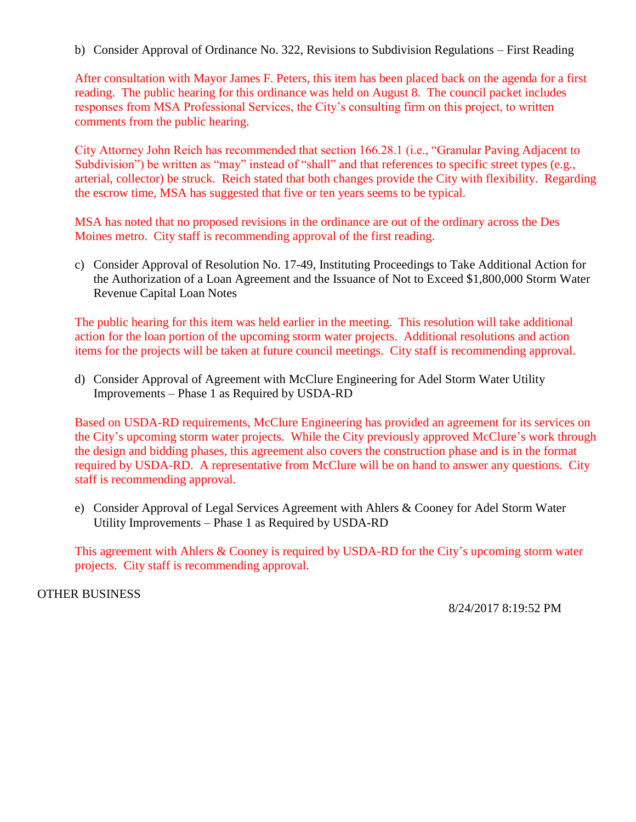b) Consider Approval of Ordinance No. 322, Revisions to Subdivision Regulations – First Reading

After consultation with Mayor James F. Peters, this item has been placed back on the agenda for a first reading. The public hearing for this ordinance was held on August 8. The council packet includes responses from MSA Professional Services, the City's consulting firm on this project, to written comments from the public hearing.

City Attorney John Reich has recommended that section 166.28.1 (i.e., "Granular Paving Adjacent to Subdivision") be written as "may" instead of "shall" and that references to specific street types (e.g., arterial, collector) be struck. Reich stated that both changes provide the City with flexibility. Regarding the escrow time, MSA has suggested that five or ten years seems to be typical.

MSA has noted that no proposed revisions in the ordinance are out of the ordinary across the Des Moines metro. City staff is recommending approval of the first reading.

c) Consider Approval of Resolution No. 17-49, Instituting Proceedings to Take Additional Action for the Authorization of a Loan Agreement and the Issuance of Not to Exceed \$1,800,000 Storm Water Revenue Capital Loan Notes

The public hearing for this item was held earlier in the meeting. This resolution will take additional action for the loan portion of the upcoming storm water projects. Additional resolutions and action items for the projects will be taken at future council meetings. City staff is recommending approval.

d) Consider Approval of Agreement with McClure Engineering for Adel Storm Water Utility Improvements – Phase 1 as Required by USDA-RD

Based on USDA-RD requirements, McClure Engineering has provided an agreement for its services on the City's upcoming storm water projects. While the City previously approved McClure's work through the design and bidding phases, this agreement also covers the construction phase and is in the format required by USDA-RD. A representative from McClure will be on hand to answer any questions. City staff is recommending approval.

e) Consider Approval of Legal Services Agreement with Ahlers & Cooney for Adel Storm Water Utility Improvements – Phase 1 as Required by USDA-RD

This agreement with Ahlers & Cooney is required by USDA-RD for the City's upcoming storm water projects. City staff is recommending approval.

OTHER BUSINESS

8/24/2017 8:19:52 PM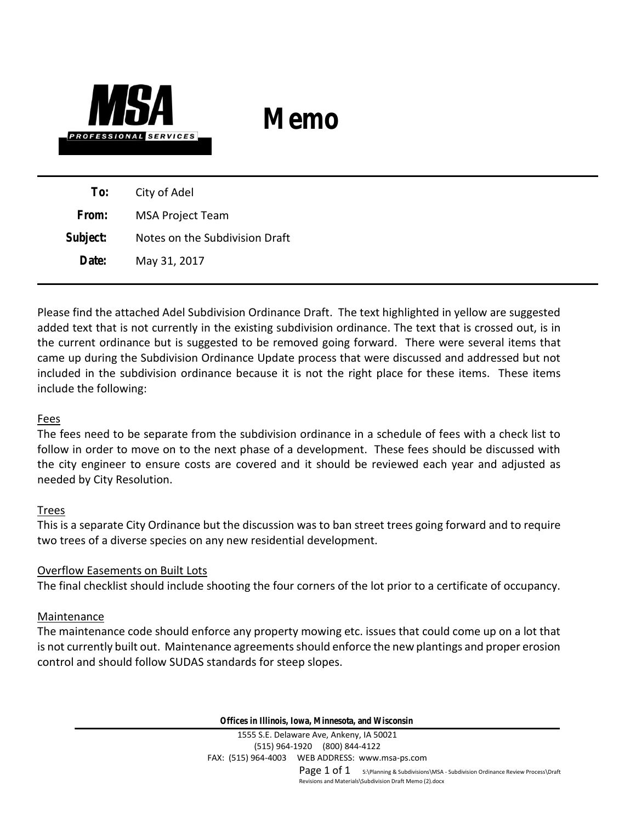

# **Memo**

**To:** City of Adel **From:** MSA Project Team **Subject:** Notes on the Subdivision Draft **Date:** May 31, 2017

Please find the attached Adel Subdivision Ordinance Draft. The text highlighted in yellow are suggested added text that is not currently in the existing subdivision ordinance. The text that is crossed out, is in the current ordinance but is suggested to be removed going forward. There were several items that came up during the Subdivision Ordinance Update process that were discussed and addressed but not included in the subdivision ordinance because it is not the right place for these items. These items include the following:

## Fees

The fees need to be separate from the subdivision ordinance in a schedule of fees with a check list to follow in order to move on to the next phase of a development. These fees should be discussed with the city engineer to ensure costs are covered and it should be reviewed each year and adjusted as needed by City Resolution.

## Trees

This is a separate City Ordinance but the discussion was to ban street trees going forward and to require two trees of a diverse species on any new residential development.

## Overflow Easements on Built Lots

The final checklist should include shooting the four corners of the lot prior to a certificate of occupancy.

## Maintenance

The maintenance code should enforce any property mowing etc. issues that could come up on a lot that is not currently built out. Maintenance agreements should enforce the new plantings and proper erosion control and should follow SUDAS standards for steep slopes.

**Offices in Illinois, Iowa, Minnesota, and Wisconsin**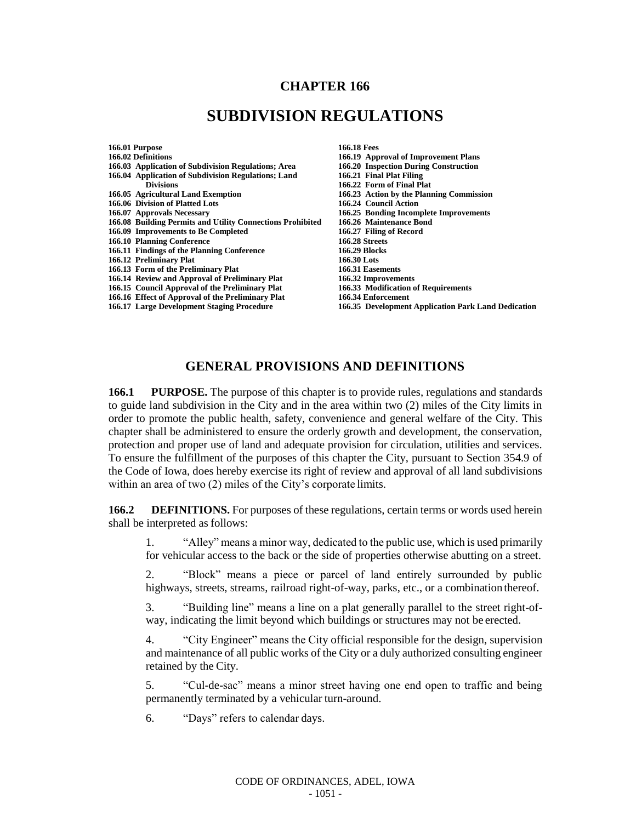## **CHAPTER 166**

# **SUBDIVISION REGULATIONS**

**166.01 Purpose 166.18 Fees 166.03** Application of Subdivision Regulations; Area **166.20** Inspection Durin<br>166.04 Application of Subdivision Regulations; Land 166.21 Final Plat Filing **166.04 Application of Subdivision Regulations; Land<br>Divisions Divisions 166.22 Form of Final Plat**<br>166.05 Agricultural Land Exemption **166.23** Action by the Plani **166.06 Division of Platted Lots**<br>**166.07 Approvals Necessary 166.08 Building Permits and Utility Connections Prohibited 166.26** Maintenance Bonda 166.09 Improvements to Be Completed **166.27** Filing of Record **166.09 Improvements to Be Completed 166.27 Filing 166.27 Filing**<br>166.10 Planning Conference **166.28** Streets **166.10 Planning Conference 166.28 Streets 166.11 Findings of the Planning Conference 166.29 Blocks 166.12 Preliminary Plat 166.30 Lots 166.13 Form of the Preliminary Plat 166.31 Easements 166.14 Review and Approval of Preliminary Plat 166.32 Improvements 166.15 Council Approval of the Preliminary Plat** 166.33 Modification 166.16 Fifter of Approval of the Preliminary Plat 166.34 Enforcement **166.16 Effect of Approval of the Preliminary Plat 166.17 Large Development Staging Procedure** 

- 
- **166.19 Approval of Improvement Plans<br><b>166.20 Inspection During Construction 166.23 Action by the Planning Commission 166.24 Council Action 166.25 Bonding Incomplete Improvements**<br>**166.26 Maintenance Bond**
- 
- 
- **166.17 Large Development Staging Procedure 166.35 Development Application Park Land Dedication**

## **GENERAL PROVISIONS AND DEFINITIONS**

**166.1 PURPOSE.** The purpose of this chapter is to provide rules, regulations and standards to guide land subdivision in the City and in the area within two (2) miles of the City limits in order to promote the public health, safety, convenience and general welfare of the City. This chapter shall be administered to ensure the orderly growth and development, the conservation, protection and proper use of land and adequate provision for circulation, utilities and services. To ensure the fulfillment of the purposes of this chapter the City, pursuant to Section 354.9 of the Code of Iowa, does hereby exercise its right of review and approval of all land subdivisions within an area of two (2) miles of the City's corporate limits.

**166.2 DEFINITIONS.** For purposes of these regulations, certain terms or words used herein shall be interpreted as follows:

1. "Alley" means a minor way, dedicated to the public use, which is used primarily for vehicular access to the back or the side of properties otherwise abutting on a street.

2. "Block" means a piece or parcel of land entirely surrounded by public highways, streets, streams, railroad right-of-way, parks, etc., or a combination thereof.

3. "Building line" means a line on a plat generally parallel to the street right-ofway, indicating the limit beyond which buildings or structures may not be erected.

4. "City Engineer" means the City official responsible for the design, supervision and maintenance of all public works of the City or a duly authorized consulting engineer retained by the City.

5. "Cul-de-sac" means a minor street having one end open to traffic and being permanently terminated by a vehicular turn-around.

6. "Days" refers to calendar days.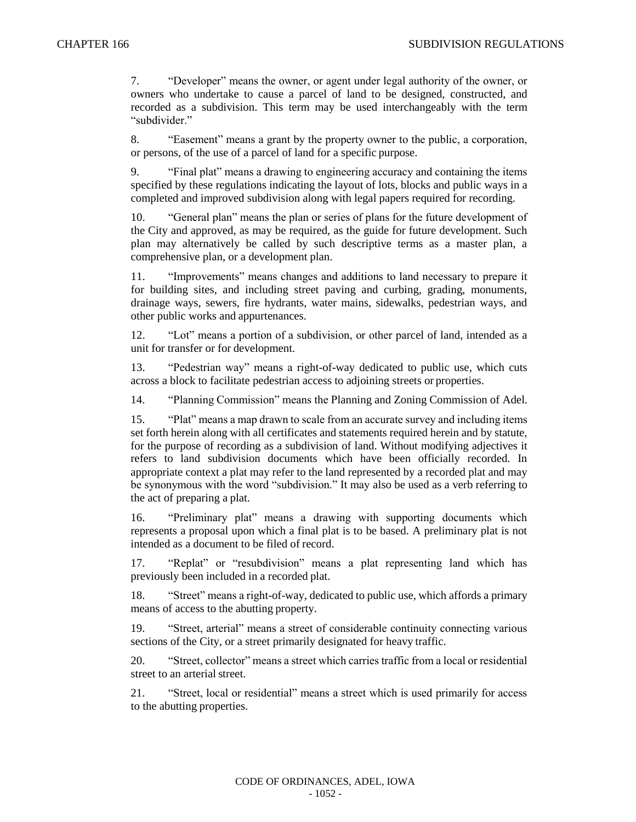7. "Developer" means the owner, or agent under legal authority of the owner, or owners who undertake to cause a parcel of land to be designed, constructed, and recorded as a subdivision. This term may be used interchangeably with the term "subdivider."

8. "Easement" means a grant by the property owner to the public, a corporation, or persons, of the use of a parcel of land for a specific purpose.

9. "Final plat" means a drawing to engineering accuracy and containing the items specified by these regulations indicating the layout of lots, blocks and public ways in a completed and improved subdivision along with legal papers required for recording.

10. "General plan" means the plan or series of plans for the future development of the City and approved, as may be required, as the guide for future development. Such plan may alternatively be called by such descriptive terms as a master plan, a comprehensive plan, or a development plan.

11. "Improvements" means changes and additions to land necessary to prepare it for building sites, and including street paving and curbing, grading, monuments, drainage ways, sewers, fire hydrants, water mains, sidewalks, pedestrian ways, and other public works and appurtenances.

12. "Lot" means a portion of a subdivision, or other parcel of land, intended as a unit for transfer or for development.

13. "Pedestrian way" means a right-of-way dedicated to public use, which cuts across a block to facilitate pedestrian access to adjoining streets or properties.

14. "Planning Commission" means the Planning and Zoning Commission of Adel.

15. "Plat" means a map drawn to scale from an accurate survey and including items set forth herein along with all certificates and statements required herein and by statute, for the purpose of recording as a subdivision of land. Without modifying adjectives it refers to land subdivision documents which have been officially recorded. In appropriate context a plat may refer to the land represented by a recorded plat and may be synonymous with the word "subdivision." It may also be used as a verb referring to the act of preparing a plat.

16. "Preliminary plat" means a drawing with supporting documents which represents a proposal upon which a final plat is to be based. A preliminary plat is not intended as a document to be filed of record.

17. "Replat" or "resubdivision" means a plat representing land which has previously been included in a recorded plat.

18. "Street" means a right-of-way, dedicated to public use, which affords a primary means of access to the abutting property.

19. "Street, arterial" means a street of considerable continuity connecting various sections of the City, or a street primarily designated for heavy traffic.

20. "Street, collector" means a street which carries traffic from a local or residential street to an arterial street.

21. "Street, local or residential" means a street which is used primarily for access to the abutting properties.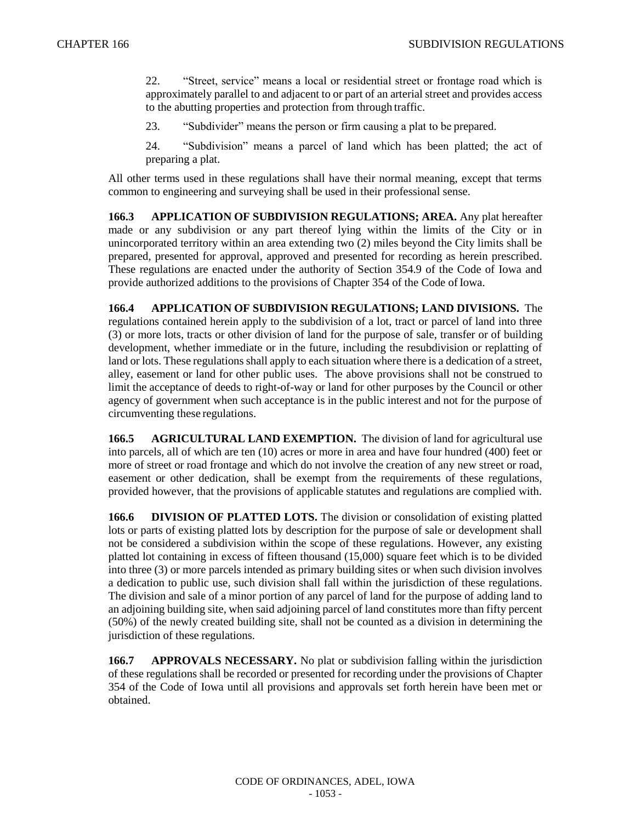22. "Street, service" means a local or residential street or frontage road which is approximately parallel to and adjacent to or part of an arterial street and provides access to the abutting properties and protection from through traffic.

23. "Subdivider" means the person or firm causing a plat to be prepared.

24. "Subdivision" means a parcel of land which has been platted; the act of preparing a plat.

All other terms used in these regulations shall have their normal meaning, except that terms common to engineering and surveying shall be used in their professional sense.

**166.3 APPLICATION OF SUBDIVISION REGULATIONS; AREA.** Any plat hereafter made or any subdivision or any part thereof lying within the limits of the City or in unincorporated territory within an area extending two (2) miles beyond the City limits shall be prepared, presented for approval, approved and presented for recording as herein prescribed. These regulations are enacted under the authority of Section 354.9 of the Code of Iowa and provide authorized additions to the provisions of Chapter 354 of the Code of Iowa.

**166.4 APPLICATION OF SUBDIVISION REGULATIONS; LAND DIVISIONS.** The regulations contained herein apply to the subdivision of a lot, tract or parcel of land into three (3) or more lots, tracts or other division of land for the purpose of sale, transfer or of building development, whether immediate or in the future, including the resubdivision or replatting of land or lots. These regulations shall apply to each situation where there is a dedication of a street, alley, easement or land for other public uses. The above provisions shall not be construed to limit the acceptance of deeds to right-of-way or land for other purposes by the Council or other agency of government when such acceptance is in the public interest and not for the purpose of circumventing these regulations.

**166.5 AGRICULTURAL LAND EXEMPTION.** The division of land for agricultural use into parcels, all of which are ten (10) acres or more in area and have four hundred (400) feet or more of street or road frontage and which do not involve the creation of any new street or road, easement or other dedication, shall be exempt from the requirements of these regulations, provided however, that the provisions of applicable statutes and regulations are complied with.

**166.6 DIVISION OF PLATTED LOTS.** The division or consolidation of existing platted lots or parts of existing platted lots by description for the purpose of sale or development shall not be considered a subdivision within the scope of these regulations. However, any existing platted lot containing in excess of fifteen thousand (15,000) square feet which is to be divided into three (3) or more parcels intended as primary building sites or when such division involves a dedication to public use, such division shall fall within the jurisdiction of these regulations. The division and sale of a minor portion of any parcel of land for the purpose of adding land to an adjoining building site, when said adjoining parcel of land constitutes more than fifty percent (50%) of the newly created building site, shall not be counted as a division in determining the jurisdiction of these regulations.

**166.7 APPROVALS NECESSARY.** No plat or subdivision falling within the jurisdiction of these regulations shall be recorded or presented for recording under the provisions of Chapter 354 of the Code of Iowa until all provisions and approvals set forth herein have been met or obtained.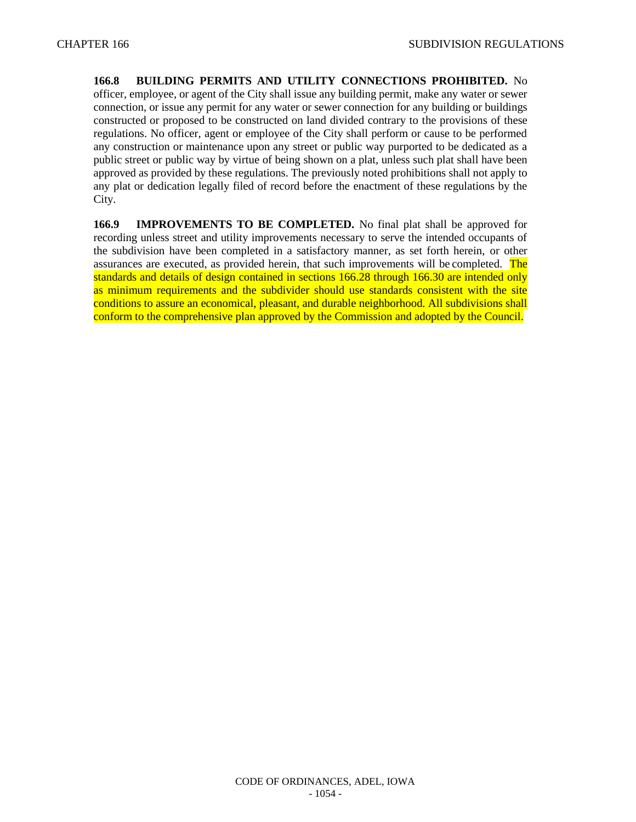**166.8 BUILDING PERMITS AND UTILITY CONNECTIONS PROHIBITED.** No officer, employee, or agent of the City shall issue any building permit, make any water or sewer connection, or issue any permit for any water or sewer connection for any building or buildings constructed or proposed to be constructed on land divided contrary to the provisions of these regulations. No officer, agent or employee of the City shall perform or cause to be performed any construction or maintenance upon any street or public way purported to be dedicated as a public street or public way by virtue of being shown on a plat, unless such plat shall have been approved as provided by these regulations. The previously noted prohibitions shall not apply to any plat or dedication legally filed of record before the enactment of these regulations by the City.

**166.9 IMPROVEMENTS TO BE COMPLETED.** No final plat shall be approved for recording unless street and utility improvements necessary to serve the intended occupants of the subdivision have been completed in a satisfactory manner, as set forth herein, or other assurances are executed, as provided herein, that such improvements will be completed. The standards and details of design contained in sections 166.28 through 166.30 are intended only as minimum requirements and the subdivider should use standards consistent with the site conditions to assure an economical, pleasant, and durable neighborhood. All subdivisions shall conform to the comprehensive plan approved by the Commission and adopted by the Council.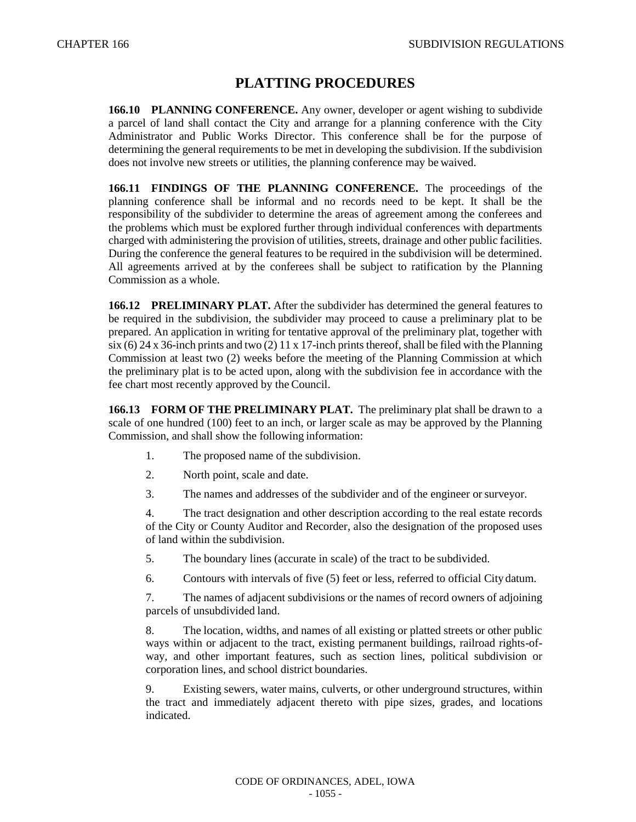# **PLATTING PROCEDURES**

**166.10 PLANNING CONFERENCE.** Any owner, developer or agent wishing to subdivide a parcel of land shall contact the City and arrange for a planning conference with the City Administrator and Public Works Director. This conference shall be for the purpose of determining the general requirements to be met in developing the subdivision. If the subdivision does not involve new streets or utilities, the planning conference may be waived.

**166.11 FINDINGS OF THE PLANNING CONFERENCE.** The proceedings of the planning conference shall be informal and no records need to be kept. It shall be the responsibility of the subdivider to determine the areas of agreement among the conferees and the problems which must be explored further through individual conferences with departments charged with administering the provision of utilities, streets, drainage and other public facilities. During the conference the general features to be required in the subdivision will be determined. All agreements arrived at by the conferees shall be subject to ratification by the Planning Commission as a whole.

**166.12 PRELIMINARY PLAT.** After the subdivider has determined the general features to be required in the subdivision, the subdivider may proceed to cause a preliminary plat to be prepared. An application in writing for tentative approval of the preliminary plat, together with six (6) 24 x 36-inch prints and two (2) 11 x 17-inch prints thereof, shall be filed with the Planning Commission at least two (2) weeks before the meeting of the Planning Commission at which the preliminary plat is to be acted upon, along with the subdivision fee in accordance with the fee chart most recently approved by the Council.

**166.13 FORM OF THE PRELIMINARY PLAT.** The preliminary plat shall be drawn to a scale of one hundred (100) feet to an inch, or larger scale as may be approved by the Planning Commission, and shall show the following information:

- 1. The proposed name of the subdivision.
- 2. North point, scale and date.
- 3. The names and addresses of the subdivider and of the engineer orsurveyor.

4. The tract designation and other description according to the real estate records of the City or County Auditor and Recorder, also the designation of the proposed uses of land within the subdivision.

5. The boundary lines (accurate in scale) of the tract to be subdivided.

6. Contours with intervals of five (5) feet or less, referred to official City datum.

7. The names of adjacent subdivisions or the names of record owners of adjoining parcels of unsubdivided land.

8. The location, widths, and names of all existing or platted streets or other public ways within or adjacent to the tract, existing permanent buildings, railroad rights-ofway, and other important features, such as section lines, political subdivision or corporation lines, and school district boundaries.

9. Existing sewers, water mains, culverts, or other underground structures, within the tract and immediately adjacent thereto with pipe sizes, grades, and locations indicated.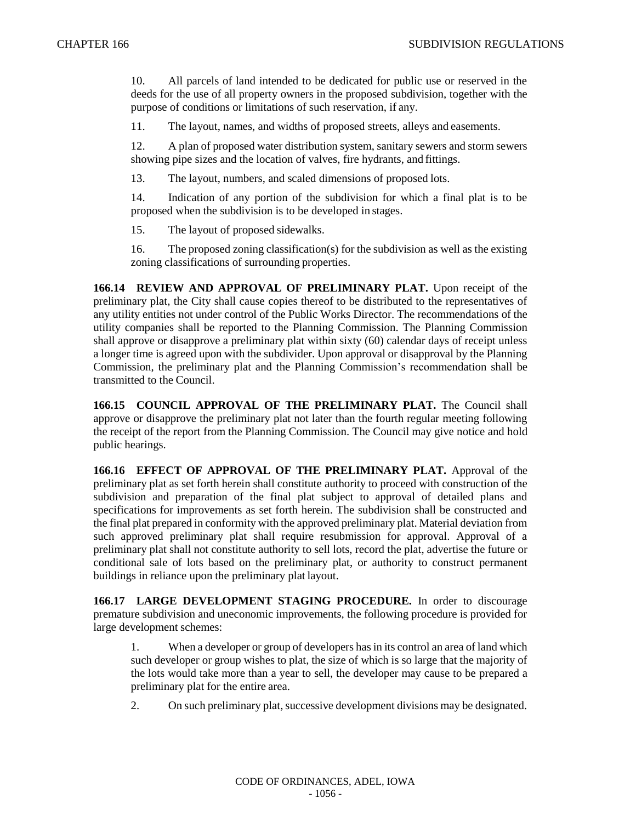10. All parcels of land intended to be dedicated for public use or reserved in the deeds for the use of all property owners in the proposed subdivision, together with the purpose of conditions or limitations of such reservation, if any.

11. The layout, names, and widths of proposed streets, alleys and easements.

12. A plan of proposed water distribution system, sanitary sewers and storm sewers showing pipe sizes and the location of valves, fire hydrants, and fittings.

13. The layout, numbers, and scaled dimensions of proposed lots.

14. Indication of any portion of the subdivision for which a final plat is to be proposed when the subdivision is to be developed in stages.

15. The layout of proposed sidewalks.

16. The proposed zoning classification(s) for the subdivision as well as the existing zoning classifications of surrounding properties.

**166.14 REVIEW AND APPROVAL OF PRELIMINARY PLAT.** Upon receipt of the preliminary plat, the City shall cause copies thereof to be distributed to the representatives of any utility entities not under control of the Public Works Director. The recommendations of the utility companies shall be reported to the Planning Commission. The Planning Commission shall approve or disapprove a preliminary plat within sixty (60) calendar days of receipt unless a longer time is agreed upon with the subdivider. Upon approval or disapproval by the Planning Commission, the preliminary plat and the Planning Commission's recommendation shall be transmitted to the Council.

**166.15 COUNCIL APPROVAL OF THE PRELIMINARY PLAT.** The Council shall approve or disapprove the preliminary plat not later than the fourth regular meeting following the receipt of the report from the Planning Commission. The Council may give notice and hold public hearings.

**166.16 EFFECT OF APPROVAL OF THE PRELIMINARY PLAT.** Approval of the preliminary plat as set forth herein shall constitute authority to proceed with construction of the subdivision and preparation of the final plat subject to approval of detailed plans and specifications for improvements as set forth herein. The subdivision shall be constructed and the final plat prepared in conformity with the approved preliminary plat. Material deviation from such approved preliminary plat shall require resubmission for approval. Approval of a preliminary plat shall not constitute authority to sell lots, record the plat, advertise the future or conditional sale of lots based on the preliminary plat, or authority to construct permanent buildings in reliance upon the preliminary plat layout.

**166.17 LARGE DEVELOPMENT STAGING PROCEDURE.** In order to discourage premature subdivision and uneconomic improvements, the following procedure is provided for large development schemes:

1. When a developer or group of developers has in its control an area of land which such developer or group wishes to plat, the size of which is so large that the majority of the lots would take more than a year to sell, the developer may cause to be prepared a preliminary plat for the entire area.

2. On such preliminary plat, successive development divisions may be designated.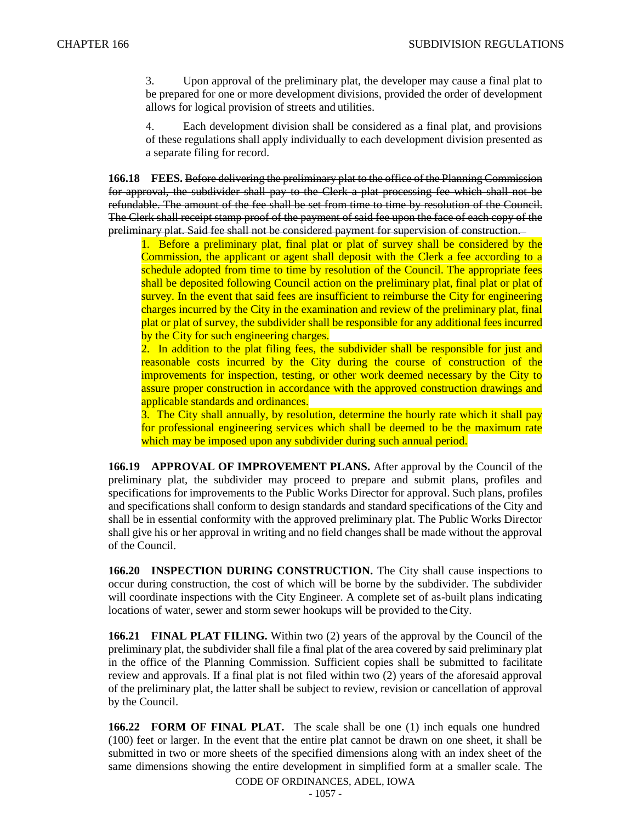3. Upon approval of the preliminary plat, the developer may cause a final plat to be prepared for one or more development divisions, provided the order of development allows for logical provision of streets and utilities.

4. Each development division shall be considered as a final plat, and provisions of these regulations shall apply individually to each development division presented as a separate filing for record.

**166.18 FEES.** Before delivering the preliminary plat to the office of the Planning Commission for approval, the subdivider shall pay to the Clerk a plat processing fee which shall not be refundable. The amount of the fee shall be set from time to time by resolution of the Council. The Clerk shall receipt stamp proof of the payment of said fee upon the face of each copy of the preliminary plat. Said fee shall not be considered payment for supervision of construction.

1. Before a preliminary plat, final plat or plat of survey shall be considered by the Commission, the applicant or agent shall deposit with the Clerk a fee according to a schedule adopted from time to time by resolution of the Council. The appropriate fees shall be deposited following Council action on the preliminary plat, final plat or plat of survey. In the event that said fees are insufficient to reimburse the City for engineering charges incurred by the City in the examination and review of the preliminary plat, final plat or plat of survey, the subdivider shall be responsible for any additional fees incurred by the City for such engineering charges.

2. In addition to the plat filing fees, the subdivider shall be responsible for just and reasonable costs incurred by the City during the course of construction of the improvements for inspection, testing, or other work deemed necessary by the City to assure proper construction in accordance with the approved construction drawings and applicable standards and ordinances.

3. The City shall annually, by resolution, determine the hourly rate which it shall pay for professional engineering services which shall be deemed to be the maximum rate which may be imposed upon any subdivider during such annual period.

**166.19 APPROVAL OF IMPROVEMENT PLANS.** After approval by the Council of the preliminary plat, the subdivider may proceed to prepare and submit plans, profiles and specifications for improvements to the Public Works Director for approval. Such plans, profiles and specifications shall conform to design standards and standard specifications of the City and shall be in essential conformity with the approved preliminary plat. The Public Works Director shall give his or her approval in writing and no field changes shall be made without the approval of the Council.

**166.20 INSPECTION DURING CONSTRUCTION.** The City shall cause inspections to occur during construction, the cost of which will be borne by the subdivider. The subdivider will coordinate inspections with the City Engineer. A complete set of as-built plans indicating locations of water, sewer and storm sewer hookups will be provided to theCity.

**166.21 FINAL PLAT FILING.** Within two (2) years of the approval by the Council of the preliminary plat, the subdivider shall file a final plat of the area covered by said preliminary plat in the office of the Planning Commission. Sufficient copies shall be submitted to facilitate review and approvals. If a final plat is not filed within two (2) years of the aforesaid approval of the preliminary plat, the latter shall be subject to review, revision or cancellation of approval by the Council.

**166.22 FORM OF FINAL PLAT.** The scale shall be one (1) inch equals one hundred (100) feet or larger. In the event that the entire plat cannot be drawn on one sheet, it shall be submitted in two or more sheets of the specified dimensions along with an index sheet of the same dimensions showing the entire development in simplified form at a smaller scale. The

CODE OF ORDINANCES, ADEL, IOWA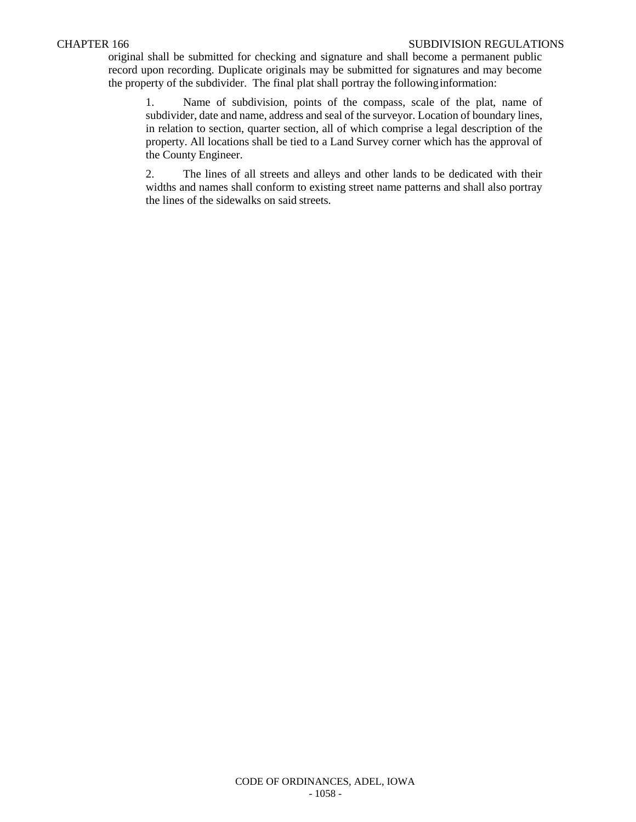#### CHAPTER 166 SUBDIVISION REGULATIONS

original shall be submitted for checking and signature and shall become a permanent public record upon recording. Duplicate originals may be submitted for signatures and may become the property of the subdivider. The final plat shall portray the followinginformation:

1. Name of subdivision, points of the compass, scale of the plat, name of subdivider, date and name, address and seal of the surveyor. Location of boundary lines, in relation to section, quarter section, all of which comprise a legal description of the property. All locations shall be tied to a Land Survey corner which has the approval of the County Engineer.

2. The lines of all streets and alleys and other lands to be dedicated with their widths and names shall conform to existing street name patterns and shall also portray the lines of the sidewalks on said streets.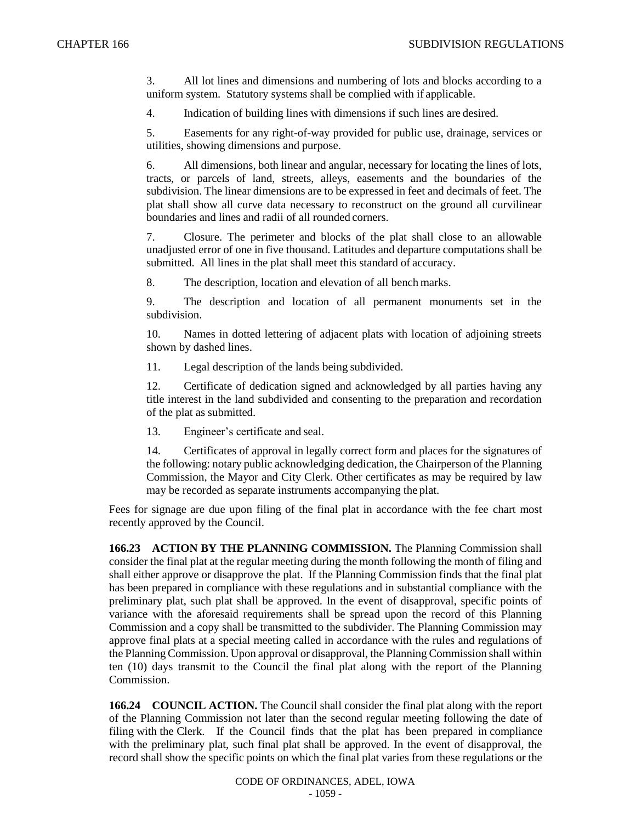3. All lot lines and dimensions and numbering of lots and blocks according to a uniform system. Statutory systems shall be complied with if applicable.

4. Indication of building lines with dimensions if such lines are desired.

5. Easements for any right-of-way provided for public use, drainage, services or utilities, showing dimensions and purpose.

6. All dimensions, both linear and angular, necessary for locating the lines of lots, tracts, or parcels of land, streets, alleys, easements and the boundaries of the subdivision. The linear dimensions are to be expressed in feet and decimals of feet. The plat shall show all curve data necessary to reconstruct on the ground all curvilinear boundaries and lines and radii of all rounded corners.

7. Closure. The perimeter and blocks of the plat shall close to an allowable unadjusted error of one in five thousand. Latitudes and departure computations shall be submitted. All lines in the plat shall meet this standard of accuracy.

8. The description, location and elevation of all bench marks.

9. The description and location of all permanent monuments set in the subdivision.

10. Names in dotted lettering of adjacent plats with location of adjoining streets shown by dashed lines.

11. Legal description of the lands being subdivided.

12. Certificate of dedication signed and acknowledged by all parties having any title interest in the land subdivided and consenting to the preparation and recordation of the plat as submitted.

13. Engineer's certificate and seal.

14. Certificates of approval in legally correct form and places for the signatures of the following: notary public acknowledging dedication, the Chairperson of the Planning Commission, the Mayor and City Clerk. Other certificates as may be required by law may be recorded as separate instruments accompanying the plat.

Fees for signage are due upon filing of the final plat in accordance with the fee chart most recently approved by the Council.

**166.23 ACTION BY THE PLANNING COMMISSION.** The Planning Commission shall consider the final plat at the regular meeting during the month following the month of filing and shall either approve or disapprove the plat. If the Planning Commission finds that the final plat has been prepared in compliance with these regulations and in substantial compliance with the preliminary plat, such plat shall be approved. In the event of disapproval, specific points of variance with the aforesaid requirements shall be spread upon the record of this Planning Commission and a copy shall be transmitted to the subdivider. The Planning Commission may approve final plats at a special meeting called in accordance with the rules and regulations of the Planning Commission. Upon approval or disapproval, the Planning Commission shall within ten (10) days transmit to the Council the final plat along with the report of the Planning Commission.

**166.24 COUNCIL ACTION.** The Council shall consider the final plat along with the report of the Planning Commission not later than the second regular meeting following the date of filing with the Clerk. If the Council finds that the plat has been prepared in compliance with the preliminary plat, such final plat shall be approved. In the event of disapproval, the record shall show the specific points on which the final plat varies from these regulations or the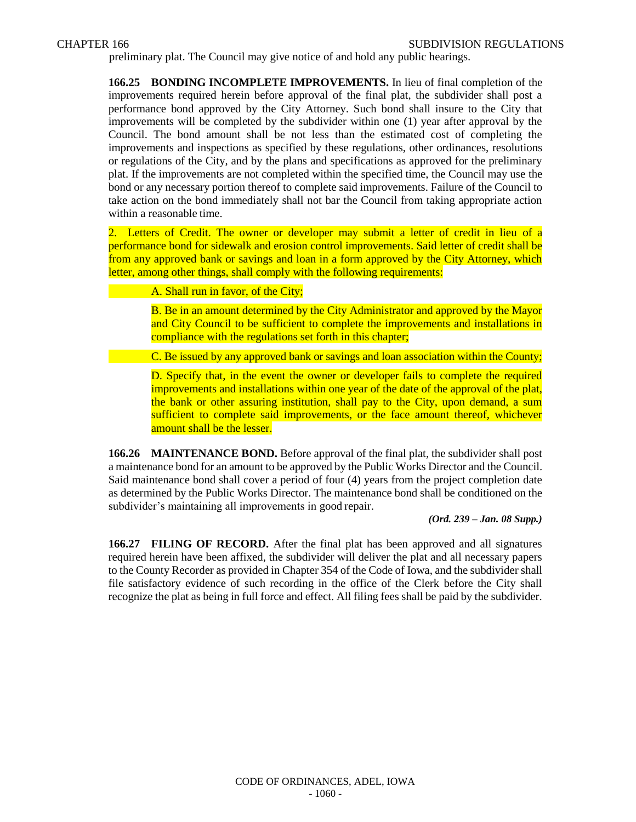preliminary plat. The Council may give notice of and hold any public hearings.

**166.25 BONDING INCOMPLETE IMPROVEMENTS.** In lieu of final completion of the improvements required herein before approval of the final plat, the subdivider shall post a performance bond approved by the City Attorney. Such bond shall insure to the City that improvements will be completed by the subdivider within one (1) year after approval by the Council. The bond amount shall be not less than the estimated cost of completing the improvements and inspections as specified by these regulations, other ordinances, resolutions or regulations of the City, and by the plans and specifications as approved for the preliminary plat. If the improvements are not completed within the specified time, the Council may use the bond or any necessary portion thereof to complete said improvements. Failure of the Council to take action on the bond immediately shall not bar the Council from taking appropriate action within a reasonable time.

2. Letters of Credit. The owner or developer may submit a letter of credit in lieu of a performance bond for sidewalk and erosion control improvements. Said letter of credit shall be from any approved bank or savings and loan in a form approved by the City Attorney, which letter, among other things, shall comply with the following requirements:

#### A. Shall run in favor, of the City;

B. Be in an amount determined by the City Administrator and approved by the Mayor and City Council to be sufficient to complete the improvements and installations in compliance with the regulations set forth in this chapter;

C. Be issued by any approved bank or savings and loan association within the County;

D. Specify that, in the event the owner or developer fails to complete the required improvements and installations within one year of the date of the approval of the plat, the bank or other assuring institution, shall pay to the City, upon demand, a sum sufficient to complete said improvements, or the face amount thereof, whichever amount shall be the lesser.

**166.26 MAINTENANCE BOND.** Before approval of the final plat, the subdivider shall post a maintenance bond for an amount to be approved by the Public Works Director and the Council. Said maintenance bond shall cover a period of four (4) years from the project completion date as determined by the Public Works Director. The maintenance bond shall be conditioned on the subdivider's maintaining all improvements in good repair.

*(Ord. 239 – Jan. 08 Supp.)*

**166.27 FILING OF RECORD.** After the final plat has been approved and all signatures required herein have been affixed, the subdivider will deliver the plat and all necessary papers to the County Recorder as provided in Chapter 354 of the Code of Iowa, and the subdivider shall file satisfactory evidence of such recording in the office of the Clerk before the City shall recognize the plat as being in full force and effect. All filing fees shall be paid by the subdivider.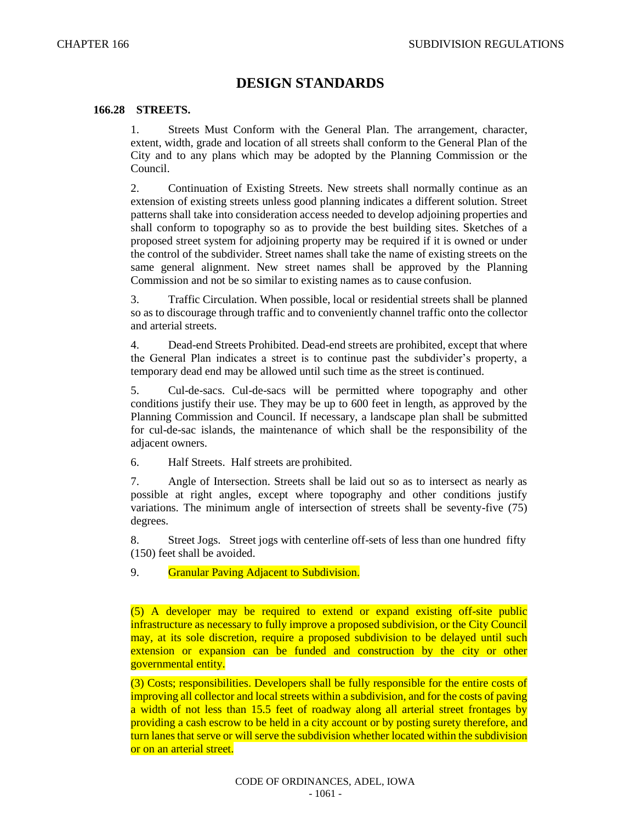## **DESIGN STANDARDS**

#### **166.28 STREETS.**

1. Streets Must Conform with the General Plan. The arrangement, character, extent, width, grade and location of all streets shall conform to the General Plan of the City and to any plans which may be adopted by the Planning Commission or the Council.

2. Continuation of Existing Streets. New streets shall normally continue as an extension of existing streets unless good planning indicates a different solution. Street patterns shall take into consideration access needed to develop adjoining properties and shall conform to topography so as to provide the best building sites. Sketches of a proposed street system for adjoining property may be required if it is owned or under the control of the subdivider. Street names shall take the name of existing streets on the same general alignment. New street names shall be approved by the Planning Commission and not be so similar to existing names as to cause confusion.

3. Traffic Circulation. When possible, local or residential streets shall be planned so as to discourage through traffic and to conveniently channel traffic onto the collector and arterial streets.

4. Dead-end Streets Prohibited. Dead-end streets are prohibited, except that where the General Plan indicates a street is to continue past the subdivider's property, a temporary dead end may be allowed until such time as the street is continued.

5. Cul-de-sacs. Cul-de-sacs will be permitted where topography and other conditions justify their use. They may be up to 600 feet in length, as approved by the Planning Commission and Council. If necessary, a landscape plan shall be submitted for cul-de-sac islands, the maintenance of which shall be the responsibility of the adjacent owners.

6. Half Streets. Half streets are prohibited.

7. Angle of Intersection. Streets shall be laid out so as to intersect as nearly as possible at right angles, except where topography and other conditions justify variations. The minimum angle of intersection of streets shall be seventy-five (75) degrees.

8. Street Jogs. Street jogs with centerline off-sets of less than one hundred fifty (150) feet shall be avoided.

9. Granular Paving Adjacent to Subdivision.

(5) A developer may be required to extend or expand existing off-site public infrastructure as necessary to fully improve a proposed subdivision, or the City Council may, at its sole discretion, require a proposed subdivision to be delayed until such extension or expansion can be funded and construction by the city or other governmental entity.

(3) Costs; responsibilities. Developers shall be fully responsible for the entire costs of improving all collector and local streets within a subdivision, and for the costs of paving a width of not less than 15.5 feet of roadway along all arterial street frontages by providing a cash escrow to be held in a city account or by posting surety therefore, and turn lanes that serve or will serve the subdivision whether located within the subdivision or on an arterial street.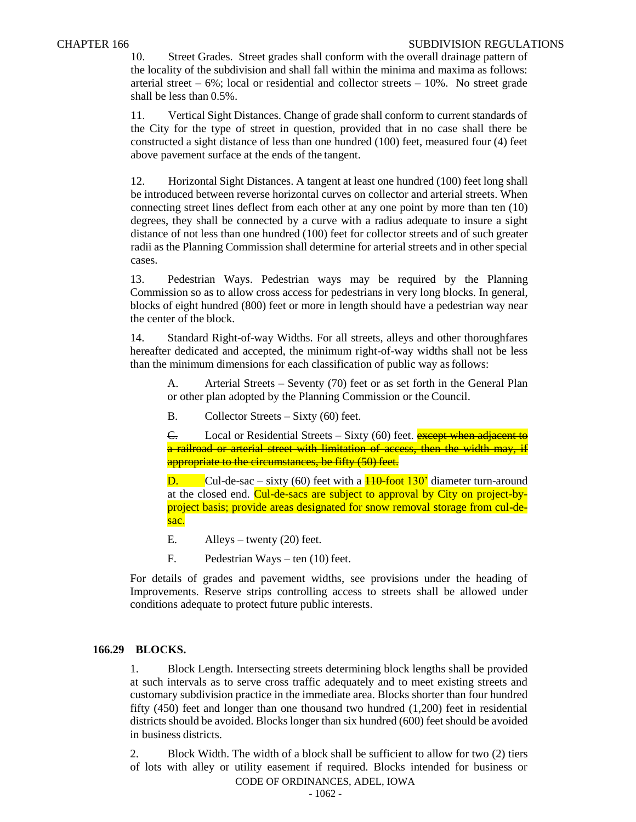10. Street Grades. Street grades shall conform with the overall drainage pattern of the locality of the subdivision and shall fall within the minima and maxima as follows: arterial street –  $6\%$ ; local or residential and collector streets –  $10\%$ . No street grade shall be less than 0.5%.

11. Vertical Sight Distances. Change of grade shall conform to current standards of the City for the type of street in question, provided that in no case shall there be constructed a sight distance of less than one hundred (100) feet, measured four (4) feet above pavement surface at the ends of the tangent.

12. Horizontal Sight Distances. A tangent at least one hundred (100) feet long shall be introduced between reverse horizontal curves on collector and arterial streets. When connecting street lines deflect from each other at any one point by more than ten (10) degrees, they shall be connected by a curve with a radius adequate to insure a sight distance of not less than one hundred (100) feet for collector streets and of such greater radii as the Planning Commission shall determine for arterial streets and in other special cases.

13. Pedestrian Ways. Pedestrian ways may be required by the Planning Commission so as to allow cross access for pedestrians in very long blocks. In general, blocks of eight hundred (800) feet or more in length should have a pedestrian way near the center of the block.

14. Standard Right-of-way Widths. For all streets, alleys and other thoroughfares hereafter dedicated and accepted, the minimum right-of-way widths shall not be less than the minimum dimensions for each classification of public way asfollows:

A. Arterial Streets – Seventy (70) feet or as set forth in the General Plan or other plan adopted by the Planning Commission or the Council.

B. Collector Streets – Sixty (60) feet.

C. Local or Residential Streets – Sixty (60) feet. **except when adjacent to** a railroad or arterial street with limitation of access, then the width may, if appropriate to the circumstances, be fifty (50) feet.

**D.** Cul-de-sac – sixty (60) feet with a  $\frac{110\text{ foot}}{130}$  diameter turn-around at the closed end. Cul-de-sacs are subject to approval by City on project-byproject basis; provide areas designated for snow removal storage from cul-desac.

- E. Alleys twenty  $(20)$  feet.
- F. Pedestrian Ways ten (10) feet.

For details of grades and pavement widths, see provisions under the heading of Improvements. Reserve strips controlling access to streets shall be allowed under conditions adequate to protect future public interests.

#### **166.29 BLOCKS.**

1. Block Length. Intersecting streets determining block lengths shall be provided at such intervals as to serve cross traffic adequately and to meet existing streets and customary subdivision practice in the immediate area. Blocks shorter than four hundred fifty (450) feet and longer than one thousand two hundred (1,200) feet in residential districts should be avoided. Blocks longer than six hundred (600) feet should be avoided in business districts.

CODE OF ORDINANCES, ADEL, IOWA 2. Block Width. The width of a block shall be sufficient to allow for two (2) tiers of lots with alley or utility easement if required. Blocks intended for business or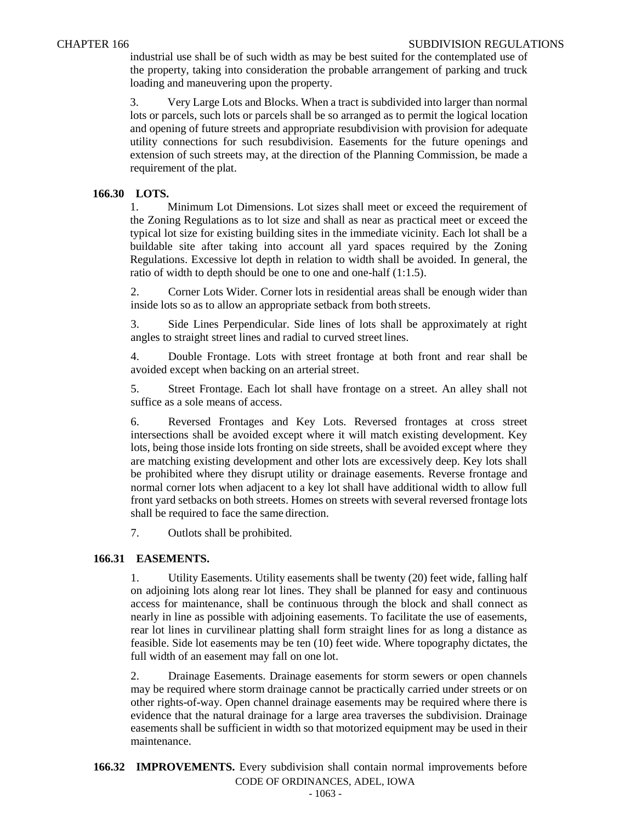industrial use shall be of such width as may be best suited for the contemplated use of the property, taking into consideration the probable arrangement of parking and truck loading and maneuvering upon the property.

3. Very Large Lots and Blocks. When a tract is subdivided into larger than normal lots or parcels, such lots or parcels shall be so arranged as to permit the logical location and opening of future streets and appropriate resubdivision with provision for adequate utility connections for such resubdivision. Easements for the future openings and extension of such streets may, at the direction of the Planning Commission, be made a requirement of the plat.

## **166.30 LOTS.**

1. Minimum Lot Dimensions. Lot sizes shall meet or exceed the requirement of the Zoning Regulations as to lot size and shall as near as practical meet or exceed the typical lot size for existing building sites in the immediate vicinity. Each lot shall be a buildable site after taking into account all yard spaces required by the Zoning Regulations. Excessive lot depth in relation to width shall be avoided. In general, the ratio of width to depth should be one to one and one-half (1:1.5).

2. Corner Lots Wider. Corner lots in residential areas shall be enough wider than inside lots so as to allow an appropriate setback from both streets.

3. Side Lines Perpendicular. Side lines of lots shall be approximately at right angles to straight street lines and radial to curved street lines.

4. Double Frontage. Lots with street frontage at both front and rear shall be avoided except when backing on an arterial street.

5. Street Frontage. Each lot shall have frontage on a street. An alley shall not suffice as a sole means of access.

6. Reversed Frontages and Key Lots. Reversed frontages at cross street intersections shall be avoided except where it will match existing development. Key lots, being those inside lots fronting on side streets, shall be avoided except where they are matching existing development and other lots are excessively deep. Key lots shall be prohibited where they disrupt utility or drainage easements. Reverse frontage and normal corner lots when adjacent to a key lot shall have additional width to allow full front yard setbacks on both streets. Homes on streets with several reversed frontage lots shall be required to face the same direction.

7. Outlots shall be prohibited.

#### **166.31 EASEMENTS.**

1. Utility Easements. Utility easements shall be twenty (20) feet wide, falling half on adjoining lots along rear lot lines. They shall be planned for easy and continuous access for maintenance, shall be continuous through the block and shall connect as nearly in line as possible with adjoining easements. To facilitate the use of easements, rear lot lines in curvilinear platting shall form straight lines for as long a distance as feasible. Side lot easements may be ten (10) feet wide. Where topography dictates, the full width of an easement may fall on one lot.

2. Drainage Easements. Drainage easements for storm sewers or open channels may be required where storm drainage cannot be practically carried under streets or on other rights-of-way. Open channel drainage easements may be required where there is evidence that the natural drainage for a large area traverses the subdivision. Drainage easements shall be sufficient in width so that motorized equipment may be used in their maintenance.

CODE OF ORDINANCES, ADEL, IOWA **166.32 IMPROVEMENTS.** Every subdivision shall contain normal improvements before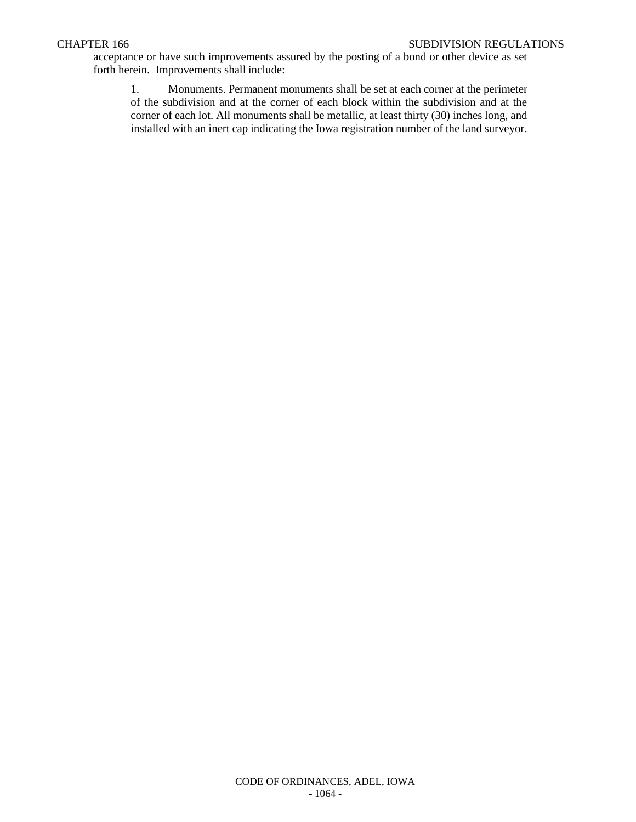acceptance or have such improvements assured by the posting of a bond or other device as set forth herein. Improvements shall include:

1. Monuments. Permanent monuments shall be set at each corner at the perimeter of the subdivision and at the corner of each block within the subdivision and at the corner of each lot. All monuments shall be metallic, at least thirty (30) inches long, and installed with an inert cap indicating the Iowa registration number of the land surveyor.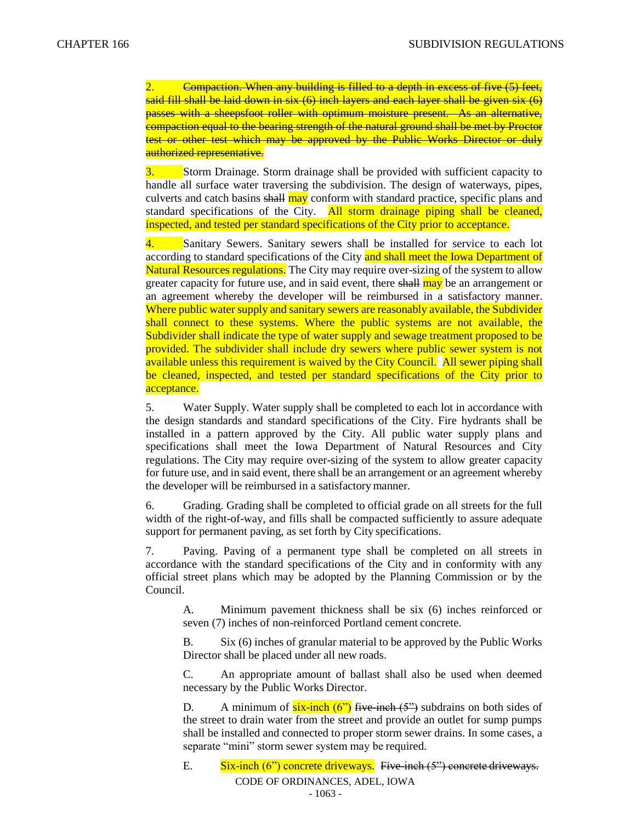2. Compaction. When any building is filled to a depth in excess of five (5) feet, said fill shall be laid down in six (6) inch layers and each layer shall be given six (6) passes with a sheepsfoot roller with optimum moisture present. As an alternative, compaction equal to the bearing strength of the natural ground shall be met by Proctor test or other test which may be approved by the Public Works Director or duly authorized representative.

3. Storm Drainage. Storm drainage shall be provided with sufficient capacity to handle all surface water traversing the subdivision. The design of waterways, pipes, culverts and catch basins shall may conform with standard practice, specific plans and standard specifications of the City. All storm drainage piping shall be cleaned, inspected, and tested per standard specifications of the City prior to acceptance.

4. Sanitary Sewers. Sanitary sewers shall be installed for service to each lot according to standard specifications of the City and shall meet the Iowa Department of Natural Resources regulations. The City may require over-sizing of the system to allow greater capacity for future use, and in said event, there shall may be an arrangement or an agreement whereby the developer will be reimbursed in a satisfactory manner. Where public water supply and sanitary sewers are reasonably available, the Subdivider shall connect to these systems. Where the public systems are not available, the Subdivider shall indicate the type of water supply and sewage treatment proposed to be provided. The subdivider shall include dry sewers where public sewer system is not available unless this requirement is waived by the City Council. All sewer piping shall be cleaned, inspected, and tested per standard specifications of the City prior to acceptance.

5. Water Supply. Water supply shall be completed to each lot in accordance with the design standards and standard specifications of the City. Fire hydrants shall be installed in a pattern approved by the City. All public water supply plans and specifications shall meet the Iowa Department of Natural Resources and City regulations. The City may require over-sizing of the system to allow greater capacity for future use, and in said event, there shall be an arrangement or an agreement whereby the developer will be reimbursed in a satisfactory manner.

6. Grading. Grading shall be completed to official grade on all streets for the full width of the right-of-way, and fills shall be compacted sufficiently to assure adequate support for permanent paving, as set forth by City specifications.

7. Paving. Paving of a permanent type shall be completed on all streets in accordance with the standard specifications of the City and in conformity with any official street plans which may be adopted by the Planning Commission or by the Council.

A. Minimum pavement thickness shall be six (6) inches reinforced or seven (7) inches of non-reinforced Portland cement concrete.

B. Six (6) inches of granular material to be approved by the Public Works Director shall be placed under all new roads.

C. An appropriate amount of ballast shall also be used when deemed necessary by the Public Works Director.

D. A minimum of  $six-inch (6")$  five-inch  $(5")$  subdrains on both sides of the street to drain water from the street and provide an outlet for sump pumps shall be installed and connected to proper storm sewer drains. In some cases, a separate "mini" storm sewer system may be required.

CODE OF ORDINANCES, ADEL, IOWA E. Six-inch  $(6")$  concrete driveways. Five-inch  $(5")$  concrete driveways.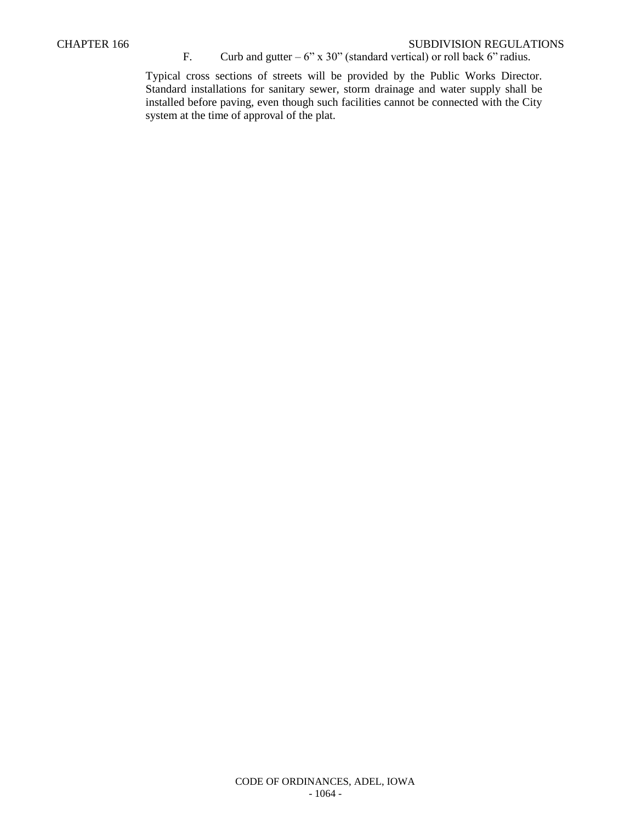#### CHAPTER 166 SUBDIVISION REGULATIONS

## F. Curb and gutter –  $6"$  x 30" (standard vertical) or roll back  $6"$  radius.

Typical cross sections of streets will be provided by the Public Works Director. Standard installations for sanitary sewer, storm drainage and water supply shall be installed before paving, even though such facilities cannot be connected with the City system at the time of approval of the plat.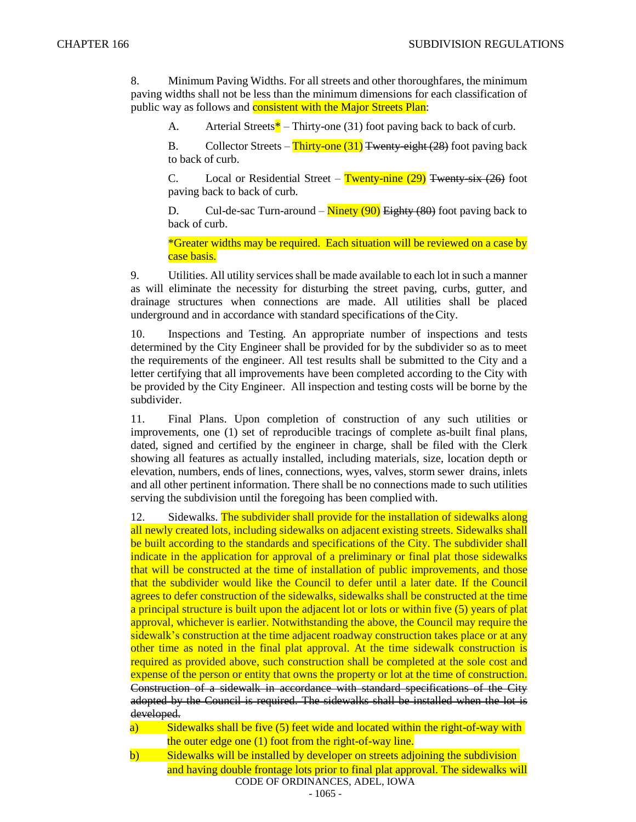8. Minimum Paving Widths. For all streets and other thoroughfares, the minimum paving widths shall not be less than the minimum dimensions for each classification of public way as follows and **consistent with the Major Streets Plan**:

A. Arterial Streets\* – Thirty-one (31) foot paving back to back of curb.

B. Collector Streets – Thirty-one  $(31)$  Twenty-eight (28) foot paving back to back of curb.

C. Local or Residential Street – Twenty-nine  $(29)$  Twenty-six  $(26)$  foot paving back to back of curb.

D. Cul-de-sac Turn-around –  $\frac{\text{Ninety (90)}}{\text{Height}}$  (80) foot paving back to back of curb.

\*Greater widths may be required. Each situation will be reviewed on a case by case basis.

9. Utilities. All utility services shall be made available to each lot in such a manner as will eliminate the necessity for disturbing the street paving, curbs, gutter, and drainage structures when connections are made. All utilities shall be placed underground and in accordance with standard specifications of theCity.

10. Inspections and Testing. An appropriate number of inspections and tests determined by the City Engineer shall be provided for by the subdivider so as to meet the requirements of the engineer. All test results shall be submitted to the City and a letter certifying that all improvements have been completed according to the City with be provided by the City Engineer. All inspection and testing costs will be borne by the subdivider.

11. Final Plans. Upon completion of construction of any such utilities or improvements, one (1) set of reproducible tracings of complete as-built final plans, dated, signed and certified by the engineer in charge, shall be filed with the Clerk showing all features as actually installed, including materials, size, location depth or elevation, numbers, ends of lines, connections, wyes, valves, storm sewer drains, inlets and all other pertinent information. There shall be no connections made to such utilities serving the subdivision until the foregoing has been complied with.

12. Sidewalks. The subdivider shall provide for the installation of sidewalks along all newly created lots, including sidewalks on adjacent existing streets. Sidewalks shall be built according to the standards and specifications of the City. The subdivider shall indicate in the application for approval of a preliminary or final plat those sidewalks that will be constructed at the time of installation of public improvements, and those that the subdivider would like the Council to defer until a later date. If the Council agrees to defer construction of the sidewalks, sidewalks shall be constructed at the time a principal structure is built upon the adjacent lot or lots or within five (5) years of plat approval, whichever is earlier. Notwithstanding the above, the Council may require the sidewalk's construction at the time adjacent roadway construction takes place or at any other time as noted in the final plat approval. At the time sidewalk construction is required as provided above, such construction shall be completed at the sole cost and expense of the person or entity that owns the property or lot at the time of construction. Construction of a sidewalk in accordance with standard specifications of the City adopted by the Council is required. The sidewalks shall be installed when the lot is developed.

a) Sidewalks shall be five (5) feet wide and located within the right-of-way with the outer edge one (1) foot from the right-of-way line.

CODE OF ORDINANCES, ADEL, IOWA b) Sidewalks will be installed by developer on streets adjoining the subdivision and having double frontage lots prior to final plat approval. The sidewalks will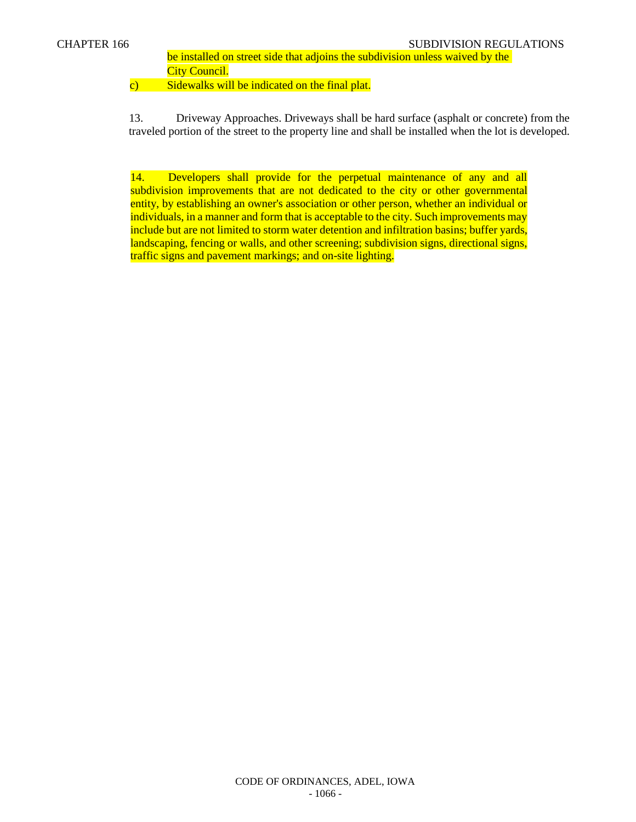be installed on street side that adjoins the subdivision unless waived by the **City Council.** 

c) Sidewalks will be indicated on the final plat.

13. Driveway Approaches. Driveways shall be hard surface (asphalt or concrete) from the traveled portion of the street to the property line and shall be installed when the lot is developed.

14. Developers shall provide for the perpetual maintenance of any and all subdivision improvements that are not dedicated to the city or other governmental entity, by establishing an owner's association or other person, whether an individual or individuals, in a manner and form that is acceptable to the city. Such improvements may include but are not limited to storm water detention and infiltration basins; buffer yards, landscaping, fencing or walls, and other screening; subdivision signs, directional signs, traffic signs and pavement markings; and on-site lighting.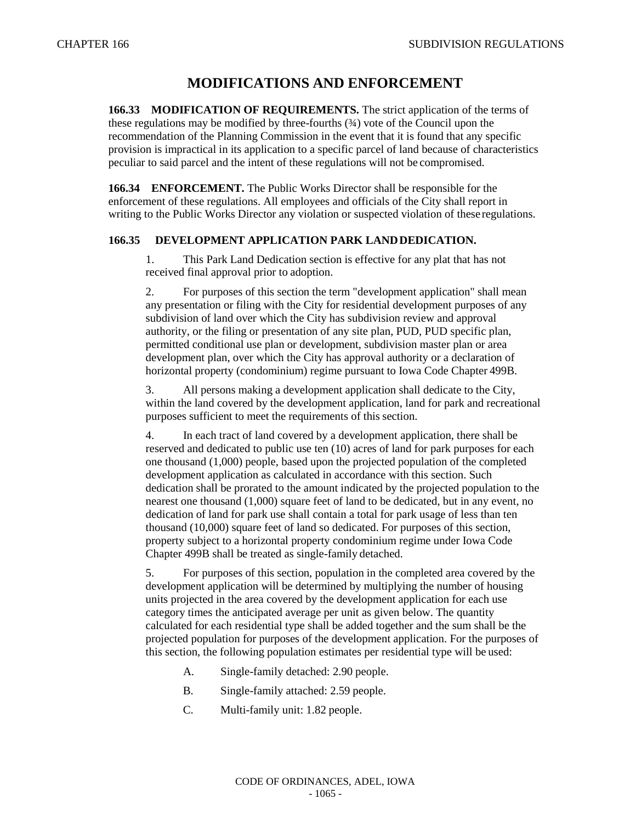# **MODIFICATIONS AND ENFORCEMENT**

**166.33 MODIFICATION OF REQUIREMENTS.** The strict application of the terms of these regulations may be modified by three-fourths  $(34)$  vote of the Council upon the recommendation of the Planning Commission in the event that it is found that any specific provision is impractical in its application to a specific parcel of land because of characteristics peculiar to said parcel and the intent of these regulations will not be compromised.

**166.34 ENFORCEMENT.** The Public Works Director shall be responsible for the enforcement of these regulations. All employees and officials of the City shall report in writing to the Public Works Director any violation or suspected violation of these regulations.

## **166.35 DEVELOPMENT APPLICATION PARK LANDDEDICATION.**

1. This Park Land Dedication section is effective for any plat that has not received final approval prior to adoption.

2. For purposes of this section the term "development application" shall mean any presentation or filing with the City for residential development purposes of any subdivision of land over which the City has subdivision review and approval authority, or the filing or presentation of any site plan, PUD, PUD specific plan, permitted conditional use plan or development, subdivision master plan or area development plan, over which the City has approval authority or a declaration of horizontal property (condominium) regime pursuant to Iowa Code Chapter 499B.

3. All persons making a development application shall dedicate to the City, within the land covered by the development application, land for park and recreational purposes sufficient to meet the requirements of this section.

4. In each tract of land covered by a development application, there shall be reserved and dedicated to public use ten (10) acres of land for park purposes for each one thousand (1,000) people, based upon the projected population of the completed development application as calculated in accordance with this section. Such dedication shall be prorated to the amount indicated by the projected population to the nearest one thousand (1,000) square feet of land to be dedicated, but in any event, no dedication of land for park use shall contain a total for park usage of less than ten thousand (10,000) square feet of land so dedicated. For purposes of this section, property subject to a horizontal property condominium regime under Iowa Code Chapter 499B shall be treated as single-family detached.

5. For purposes of this section, population in the completed area covered by the development application will be determined by multiplying the number of housing units projected in the area covered by the development application for each use category times the anticipated average per unit as given below. The quantity calculated for each residential type shall be added together and the sum shall be the projected population for purposes of the development application. For the purposes of this section, the following population estimates per residential type will be used:

- A. Single-family detached: 2.90 people.
- B. Single-family attached: 2.59 people.
- C. Multi-family unit: 1.82 people.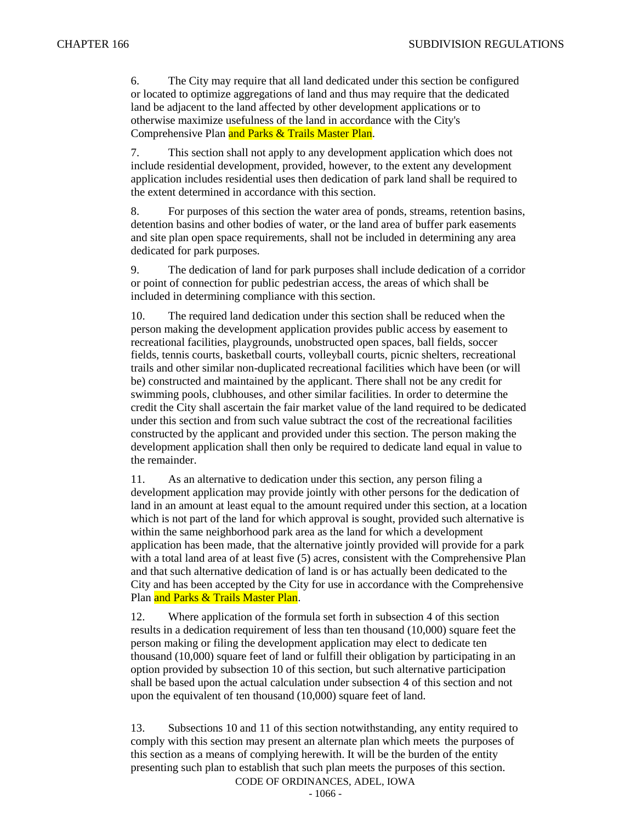6. The City may require that all land dedicated under this section be configured or located to optimize aggregations of land and thus may require that the dedicated land be adjacent to the land affected by other development applications or to otherwise maximize usefulness of the land in accordance with the City's Comprehensive Plan and Parks & Trails Master Plan.

7. This section shall not apply to any development application which does not include residential development, provided, however, to the extent any development application includes residential uses then dedication of park land shall be required to the extent determined in accordance with this section.

8. For purposes of this section the water area of ponds, streams, retention basins, detention basins and other bodies of water, or the land area of buffer park easements and site plan open space requirements, shall not be included in determining any area dedicated for park purposes.

9. The dedication of land for park purposes shall include dedication of a corridor or point of connection for public pedestrian access, the areas of which shall be included in determining compliance with this section.

10. The required land dedication under this section shall be reduced when the person making the development application provides public access by easement to recreational facilities, playgrounds, unobstructed open spaces, ball fields, soccer fields, tennis courts, basketball courts, volleyball courts, picnic shelters, recreational trails and other similar non-duplicated recreational facilities which have been (or will be) constructed and maintained by the applicant. There shall not be any credit for swimming pools, clubhouses, and other similar facilities. In order to determine the credit the City shall ascertain the fair market value of the land required to be dedicated under this section and from such value subtract the cost of the recreational facilities constructed by the applicant and provided under this section. The person making the development application shall then only be required to dedicate land equal in value to the remainder.

11. As an alternative to dedication under this section, any person filing a development application may provide jointly with other persons for the dedication of land in an amount at least equal to the amount required under this section, at a location which is not part of the land for which approval is sought, provided such alternative is within the same neighborhood park area as the land for which a development application has been made, that the alternative jointly provided will provide for a park with a total land area of at least five (5) acres, consistent with the Comprehensive Plan and that such alternative dedication of land is or has actually been dedicated to the City and has been accepted by the City for use in accordance with the Comprehensive Plan and Parks & Trails Master Plan.

12. Where application of the formula set forth in subsection 4 of this section results in a dedication requirement of less than ten thousand (10,000) square feet the person making or filing the development application may elect to dedicate ten thousand (10,000) square feet of land or fulfill their obligation by participating in an option provided by subsection 10 of this section, but such alternative participation shall be based upon the actual calculation under subsection 4 of this section and not upon the equivalent of ten thousand (10,000) square feet of land.

13. Subsections 10 and 11 of this section notwithstanding, any entity required to comply with this section may present an alternate plan which meets the purposes of this section as a means of complying herewith. It will be the burden of the entity presenting such plan to establish that such plan meets the purposes of this section.

CODE OF ORDINANCES, ADEL, IOWA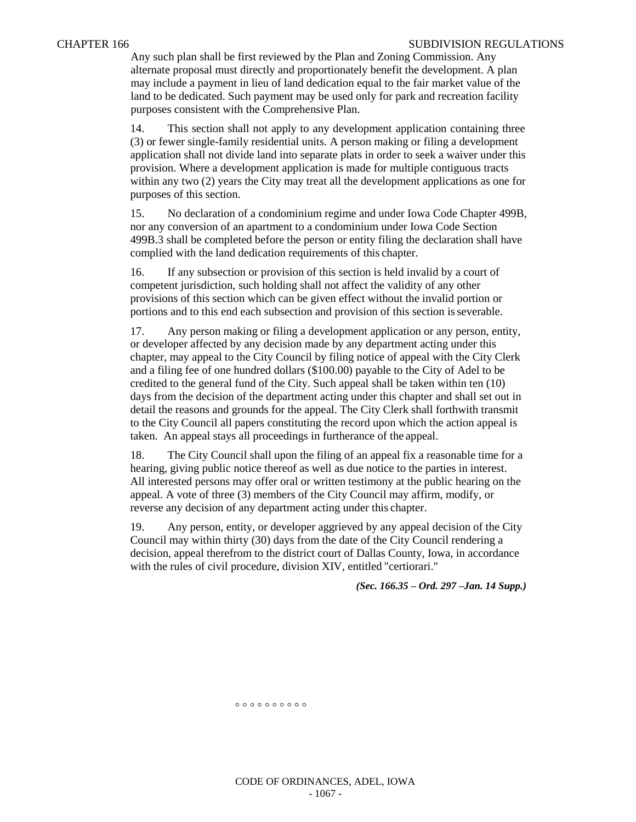Any such plan shall be first reviewed by the Plan and Zoning Commission. Any alternate proposal must directly and proportionately benefit the development. A plan may include a payment in lieu of land dedication equal to the fair market value of the land to be dedicated. Such payment may be used only for park and recreation facility purposes consistent with the Comprehensive Plan.

14. This section shall not apply to any development application containing three (3) or fewer single-family residential units. A person making or filing a development application shall not divide land into separate plats in order to seek a waiver under this provision. Where a development application is made for multiple contiguous tracts within any two (2) years the City may treat all the development applications as one for purposes of this section.

15. No declaration of a condominium regime and under Iowa Code Chapter 499B, nor any conversion of an apartment to a condominium under Iowa Code Section 499B.3 shall be completed before the person or entity filing the declaration shall have complied with the land dedication requirements of this chapter.

16. If any subsection or provision of this section is held invalid by a court of competent jurisdiction, such holding shall not affect the validity of any other provisions of this section which can be given effect without the invalid portion or portions and to this end each subsection and provision of this section is severable.

17. Any person making or filing a development application or any person, entity, or developer affected by any decision made by any department acting under this chapter, may appeal to the City Council by filing notice of appeal with the City Clerk and a filing fee of one hundred dollars (\$100.00) payable to the City of Adel to be credited to the general fund of the City. Such appeal shall be taken within ten (10) days from the decision of the department acting under this chapter and shall set out in detail the reasons and grounds for the appeal. The City Clerk shall forthwith transmit to the City Council all papers constituting the record upon which the action appeal is taken. An appeal stays all proceedings in furtherance of the appeal.

18. The City Council shall upon the filing of an appeal fix a reasonable time for a hearing, giving public notice thereof as well as due notice to the parties in interest. All interested persons may offer oral or written testimony at the public hearing on the appeal. A vote of three (3) members of the City Council may affirm, modify, or reverse any decision of any department acting under this chapter.

19. Any person, entity, or developer aggrieved by any appeal decision of the City Council may within thirty (30) days from the date of the City Council rendering a decision, appeal therefrom to the district court of Dallas County, Iowa, in accordance with the rules of civil procedure, division XIV, entitled "certiorari."

*(Sec. 166.35 – Ord. 297 –Jan. 14 Supp.)*

 $00000000000$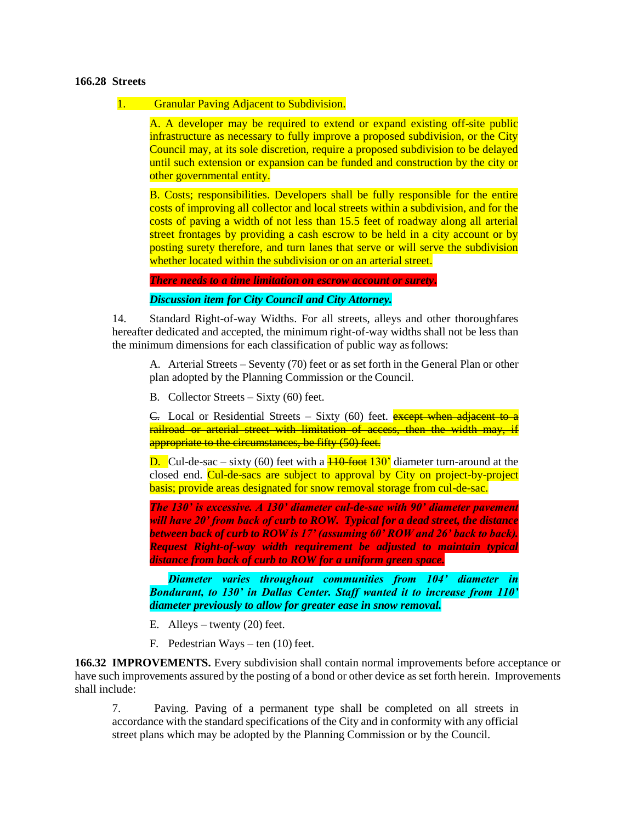#### **166.28 Streets**

#### 1. Granular Paving Adjacent to Subdivision.

A. A developer may be required to extend or expand existing off-site public infrastructure as necessary to fully improve a proposed subdivision, or the City Council may, at its sole discretion, require a proposed subdivision to be delayed until such extension or expansion can be funded and construction by the city or other governmental entity.

B. Costs; responsibilities. Developers shall be fully responsible for the entire costs of improving all collector and local streets within a subdivision, and for the costs of paving a width of not less than 15.5 feet of roadway along all arterial street frontages by providing a cash escrow to be held in a city account or by posting surety therefore, and turn lanes that serve or will serve the subdivision whether located within the subdivision or on an arterial street.

*There needs to a time limitation on escrow account or surety***.**

*Discussion item for City Council and City Attorney.*

14. Standard Right-of-way Widths. For all streets, alleys and other thoroughfares hereafter dedicated and accepted, the minimum right-of-way widths shall not be less than the minimum dimensions for each classification of public way asfollows:

A. Arterial Streets – Seventy (70) feet or as set forth in the General Plan or other plan adopted by the Planning Commission or the Council.

B. Collector Streets – Sixty (60) feet.

E. Local or Residential Streets – Sixty (60) feet. **except when adjacent to a** railroad or arterial street with limitation of access, then the width may, if appropriate to the circumstances, be fifty (50) feet.

**D.** Cul-de-sac – sixty (60) feet with a  $\frac{110 \text{ foot}}{130}$  diameter turn-around at the closed end. Cul-de-sacs are subject to approval by City on project-by-project basis; provide areas designated for snow removal storage from cul-de-sac.

*The 130' is excessive. A 130' diameter cul-de-sac with 90' diameter pavement will have 20' from back of curb to ROW. Typical for a dead street, the distance between back of curb to ROW is 17' (assuming 60' ROW and 26' back to back). Request Right-of-way width requirement be adjusted to maintain typical distance from back of curb to ROW for a uniform green space.*

*Diameter varies throughout communities from 104' diameter in Bondurant, to 130' in Dallas Center. Staff wanted it to increase from 110' diameter previously to allow for greater ease in snow removal.*

- E. Alleys twenty (20) feet.
- F. Pedestrian Ways ten (10) feet.

**166.32 IMPROVEMENTS.** Every subdivision shall contain normal improvements before acceptance or have such improvements assured by the posting of a bond or other device as set forth herein. Improvements shall include:

7. Paving. Paving of a permanent type shall be completed on all streets in accordance with the standard specifications of the City and in conformity with any official street plans which may be adopted by the Planning Commission or by the Council.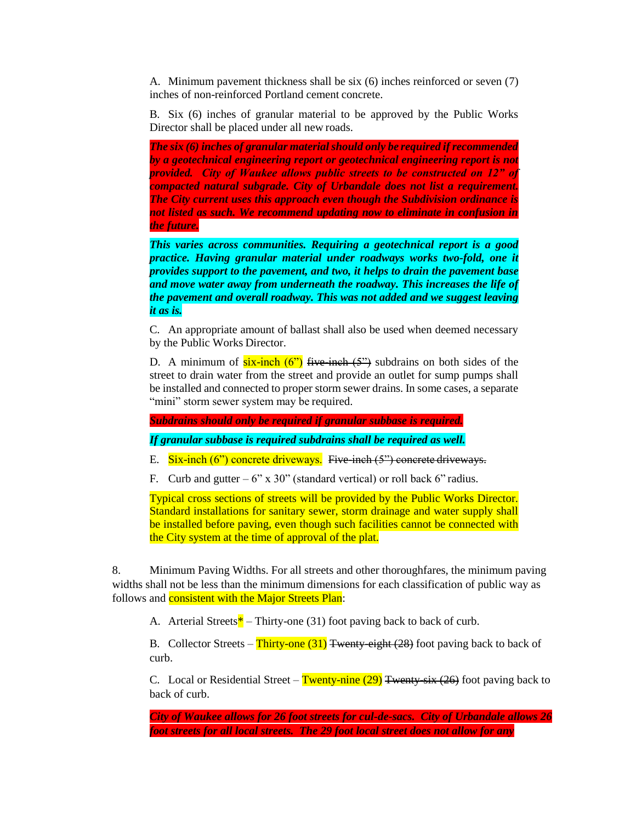A. Minimum pavement thickness shall be six (6) inches reinforced or seven (7) inches of non-reinforced Portland cement concrete.

B. Six (6) inches of granular material to be approved by the Public Works Director shall be placed under all new roads.

*The six (6) inches of granular material should only be required if recommended by a geotechnical engineering report or geotechnical engineering report is not provided. City of Waukee allows public streets to be constructed on 12" of compacted natural subgrade. City of Urbandale does not list a requirement. The City current uses this approach even though the Subdivision ordinance is not listed as such. We recommend updating now to eliminate in confusion in the future.*

*This varies across communities. Requiring a geotechnical report is a good practice. Having granular material under roadways works two-fold, one it provides support to the pavement, and two, it helps to drain the pavement base and move water away from underneath the roadway. This increases the life of the pavement and overall roadway. This was not added and we suggest leaving it as is.*

C. An appropriate amount of ballast shall also be used when deemed necessary by the Public Works Director.

D. A minimum of  $six-inch (6")$  five-inch  $(5")$  subdrains on both sides of the street to drain water from the street and provide an outlet for sump pumps shall be installed and connected to proper storm sewer drains. In some cases, a separate "mini" storm sewer system may be required.

*Subdrains should only be required if granular subbase is required.*

*If granular subbase is required subdrains shall be required as well.*

E. Six-inch (6") concrete driveways. Five-inch (5") concrete driveways.

F. Curb and gutter –  $6"$  x 30" (standard vertical) or roll back  $6"$  radius.

Typical cross sections of streets will be provided by the Public Works Director. Standard installations for sanitary sewer, storm drainage and water supply shall be installed before paving, even though such facilities cannot be connected with the City system at the time of approval of the plat.

8. Minimum Paving Widths. For all streets and other thoroughfares, the minimum paving widths shall not be less than the minimum dimensions for each classification of public way as follows and **consistent with the Major Streets Plan**:

A. Arterial Streets<sup>\*</sup> – Thirty-one (31) foot paving back to back of curb.

B. Collector Streets – Thirty-one  $(31)$  Twenty-eight (28) foot paving back to back of curb.

C. Local or Residential Street – Twenty-nine  $(29)$  Twenty-six  $(26)$  foot paving back to back of curb.

*City of Waukee allows for 26 foot streets for cul-de-sacs. City of Urbandale allows 26 foot streets for all local streets. The 29 foot local street does not allow for any*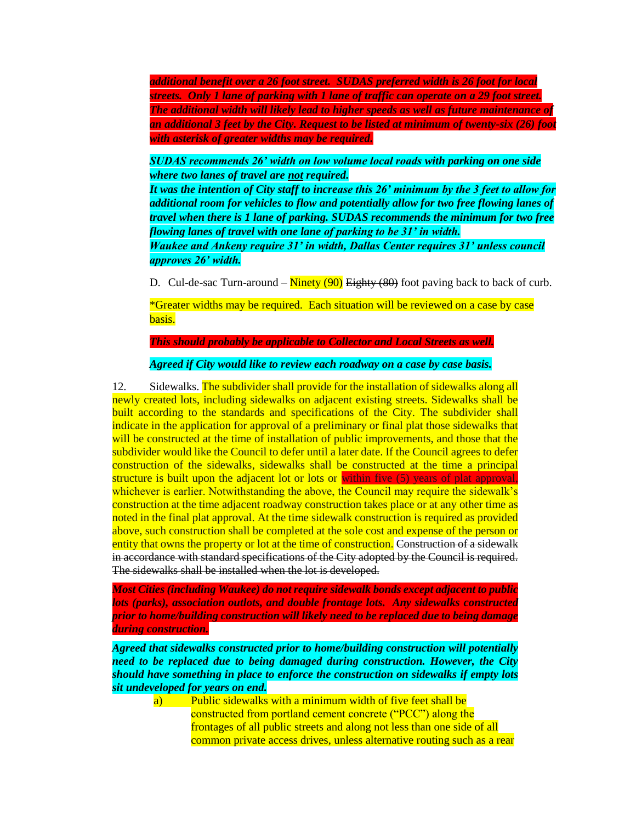*additional benefit over a 26 foot street. SUDAS preferred width is 26 foot for local streets. Only 1 lane of parking with 1 lane of traffic can operate on a 29 foot street. The additional width will likely lead to higher speeds as well as future maintenance of an additional 3 feet by the City. Request to be listed at minimum of twenty-six (26) foot with asterisk of greater widths may be required.* 

*SUDAS recommends 26' width on low volume local roads with parking on one side where two lanes of travel are not required.* 

*It was the intention of City staff to increase this 26' minimum by the 3 feet to allow for additional room for vehicles to flow and potentially allow for two free flowing lanes of travel when there is 1 lane of parking. SUDAS recommends the minimum for two free flowing lanes of travel with one lane of parking to be 31' in width.*

*Waukee and Ankeny require 31' in width, Dallas Center requires 31' unless council approves 26' width.*

D. Cul-de-sac Turn-around –  $\frac{\text{Ninety (90)}}{\text{Eightty (80)}}$  foot paving back to back of curb.

\*Greater widths may be required. Each situation will be reviewed on a case by case basis.

*This should probably be applicable to Collector and Local Streets as well.*

*Agreed if City would like to review each roadway on a case by case basis.*

12. Sidewalks. The subdivider shall provide for the installation of sidewalks along all newly created lots, including sidewalks on adjacent existing streets. Sidewalks shall be built according to the standards and specifications of the City. The subdivider shall indicate in the application for approval of a preliminary or final plat those sidewalks that will be constructed at the time of installation of public improvements, and those that the subdivider would like the Council to defer until a later date. If the Council agrees to defer construction of the sidewalks, sidewalks shall be constructed at the time a principal structure is built upon the adjacent lot or lots or within five (5) years of plat approval, whichever is earlier. Notwithstanding the above, the Council may require the sidewalk's construction at the time adjacent roadway construction takes place or at any other time as noted in the final plat approval. At the time sidewalk construction is required as provided above, such construction shall be completed at the sole cost and expense of the person or entity that owns the property or lot at the time of construction. Construction of a sidewalk in accordance with standard specifications of the City adopted by the Council is required. The sidewalks shall be installed when the lot is developed.

*Most Cities (including Waukee) do not require sidewalk bonds except adjacent to public lots (parks), association outlots, and double frontage lots. Any sidewalks constructed prior to home/building construction will likely need to be replaced due to being damage during construction.*

*Agreed that sidewalks constructed prior to home/building construction will potentially need to be replaced due to being damaged during construction. However, the City should have something in place to enforce the construction on sidewalks if empty lots sit undeveloped for years on end.*

a) Public sidewalks with a minimum width of five feet shall be constructed from portland cement concrete ("PCC") along the frontages of all public streets and along not less than one side of all common private access drives, unless alternative routing such as a rear